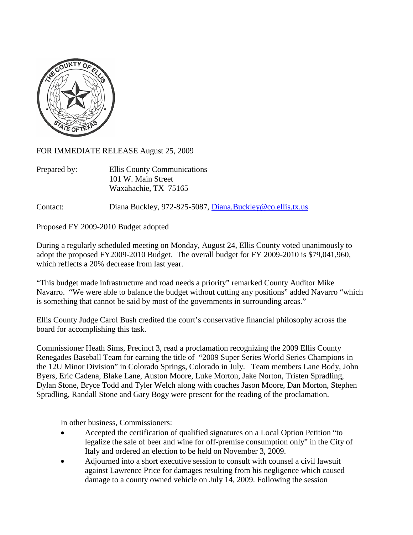

FOR IMMEDIATE RELEASE August 25, 2009

| Prepared by: | Ellis County Communications |
|--------------|-----------------------------|
|              | 101 W. Main Street          |
|              | Waxahachie, TX 75165        |

Contact: Diana Buckley, 972-825-5087, [Diana.Buckley@co.ellis.tx.us](mailto:Diana.Buckley@co.ellis.tx.us)

Proposed FY 2009-2010 Budget adopted

During a regularly scheduled meeting on Monday, August 24, Ellis County voted unanimously to adopt the proposed FY2009-2010 Budget. The overall budget for FY 2009-2010 is \$79,041,960, which reflects a 20% decrease from last year.

"This budget made infrastructure and road needs a priority" remarked County Auditor Mike Navarro. "We were able to balance the budget without cutting any positions" added Navarro "which is something that cannot be said by most of the governments in surrounding areas."

Ellis County Judge Carol Bush credited the court's conservative financial philosophy across the board for accomplishing this task.

Commissioner Heath Sims, Precinct 3, read a proclamation recognizing the 2009 Ellis County Renegades Baseball Team for earning the title of "2009 Super Series World Series Champions in the 12U Minor Division" in Colorado Springs, Colorado in July. Team members Lane Body, John Byers, Eric Cadena, Blake Lane, Auston Moore, Luke Morton, Jake Norton, Tristen Spradling, Dylan Stone, Bryce Todd and Tyler Welch along with coaches Jason Moore, Dan Morton, Stephen Spradling, Randall Stone and Gary Bogy were present for the reading of the proclamation.

In other business, Commissioners:

- Accepted the certification of qualified signatures on a Local Option Petition "to" legalize the sale of beer and wine for off-premise consumption only" in the City of Italy and ordered an election to be held on November 3, 2009.
- Adjourned into a short executive session to consult with counsel a civil lawsuit against Lawrence Price for damages resulting from his negligence which caused damage to a county owned vehicle on July 14, 2009. Following the session